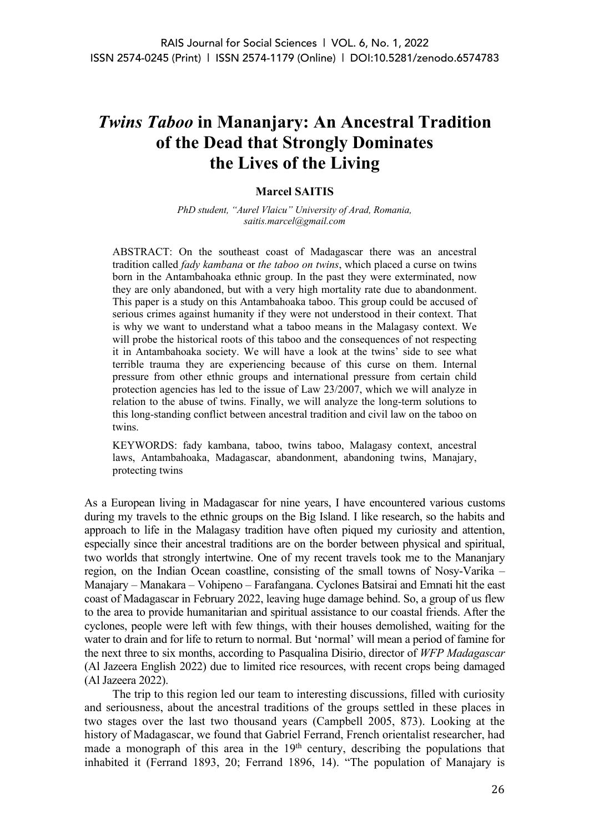# *Twins Taboo* **in Mananjary: An Ancestral Tradition of the Dead that Strongly Dominates the Lives of the Living**

#### **Marcel SAITIS**

*PhD student, "Aurel Vlaicu" University of Arad, Romania, saitis.marcel@gmail.com*

ABSTRACT: On the southeast coast of Madagascar there was an ancestral tradition called *fady kambana* or *the taboo on twins*, which placed a curse on twins born in the Antambahoaka ethnic group. In the past they were exterminated, now they are only abandoned, but with a very high mortality rate due to abandonment. This paper is a study on this Antambahoaka taboo. This group could be accused of serious crimes against humanity if they were not understood in their context. That is why we want to understand what a taboo means in the Malagasy context. We will probe the historical roots of this taboo and the consequences of not respecting it in Antambahoaka society. We will have a look at the twins' side to see what terrible trauma they are experiencing because of this curse on them. Internal pressure from other ethnic groups and international pressure from certain child protection agencies has led to the issue of Law 23/2007, which we will analyze in relation to the abuse of twins. Finally, we will analyze the long-term solutions to this long-standing conflict between ancestral tradition and civil law on the taboo on twins.

KEYWORDS: fady kambana, taboo, twins taboo, Malagasy context, ancestral laws, Antambahoaka, Madagascar, abandonment, abandoning twins, Manajary, protecting twins

As a European living in Madagascar for nine years, I have encountered various customs during my travels to the ethnic groups on the Big Island. I like research, so the habits and approach to life in the Malagasy tradition have often piqued my curiosity and attention, especially since their ancestral traditions are on the border between physical and spiritual, two worlds that strongly intertwine. One of my recent travels took me to the Mananjary region, on the Indian Ocean coastline, consisting of the small towns of Nosy-Varika – Manajary – Manakara – Vohipeno – Farafangana. Cyclones Batsirai and Emnati hit the east coast of Madagascar in February 2022, leaving huge damage behind. So, a group of us flew to the area to provide humanitarian and spiritual assistance to our coastal friends. After the cyclones, people were left with few things, with their houses demolished, waiting for the water to drain and for life to return to normal. But 'normal' will mean a period of famine for the next three to six months, according to Pasqualina Disirio, director of *WFP Madagascar* (Al Jazeera English 2022) due to limited rice resources, with recent crops being damaged (Al Jazeera 2022).

The trip to this region led our team to interesting discussions, filled with curiosity and seriousness, about the ancestral traditions of the groups settled in these places in two stages over the last two thousand years (Campbell 2005, 873). Looking at the history of Madagascar, we found that Gabriel Ferrand, French orientalist researcher, had made a monograph of this area in the  $19<sup>th</sup>$  century, describing the populations that inhabited it (Ferrand 1893, 20; Ferrand 1896, 14). "The population of Manajary is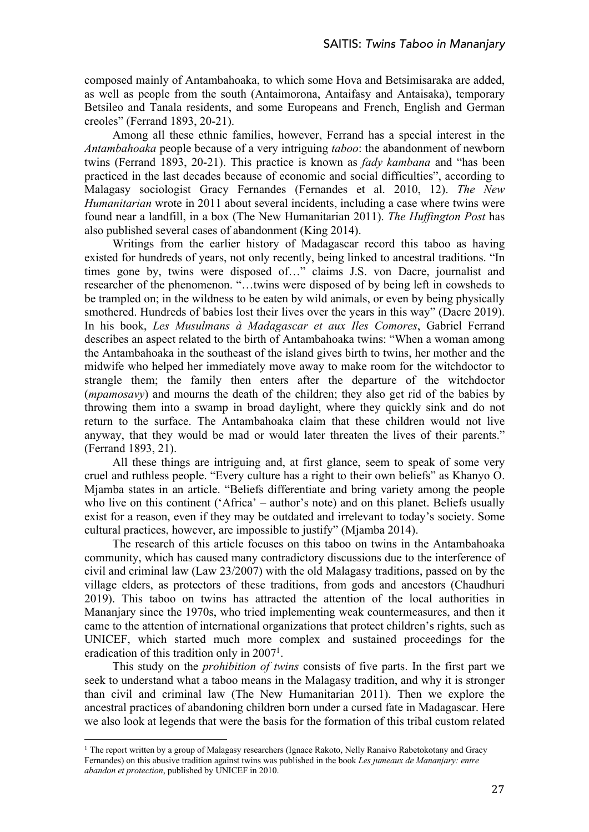composed mainly of Antambahoaka, to which some Hova and Betsimisaraka are added, as well as people from the south (Antaimorona, Antaifasy and Antaisaka), temporary Betsileo and Tanala residents, and some Europeans and French, English and German creoles" (Ferrand 1893, 20-21).

Among all these ethnic families, however, Ferrand has a special interest in the *Antambahoaka* people because of a very intriguing *taboo*: the abandonment of newborn twins (Ferrand 1893, 20-21). This practice is known as *fady kambana* and "has been practiced in the last decades because of economic and social difficulties", according to Malagasy sociologist Gracy Fernandes (Fernandes et al. 2010, 12). *The New Humanitarian* wrote in 2011 about several incidents, including a case where twins were found near a landfill, in a box (The New Humanitarian 2011). *The Huffington Post* has also published several cases of abandonment (King 2014).

Writings from the earlier history of Madagascar record this taboo as having existed for hundreds of years, not only recently, being linked to ancestral traditions. "In times gone by, twins were disposed of…" claims J.S. von Dacre, journalist and researcher of the phenomenon. "…twins were disposed of by being left in cowsheds to be trampled on; in the wildness to be eaten by wild animals, or even by being physically smothered. Hundreds of babies lost their lives over the years in this way" (Dacre 2019). In his book, *Les Musulmans à Madagascar et aux Iles Comores*, Gabriel Ferrand describes an aspect related to the birth of Antambahoaka twins: "When a woman among the Antambahoaka in the southeast of the island gives birth to twins, her mother and the midwife who helped her immediately move away to make room for the witchdoctor to strangle them; the family then enters after the departure of the witchdoctor (*mpamosavy*) and mourns the death of the children; they also get rid of the babies by throwing them into a swamp in broad daylight, where they quickly sink and do not return to the surface. The Antambahoaka claim that these children would not live anyway, that they would be mad or would later threaten the lives of their parents." (Ferrand 1893, 21).

All these things are intriguing and, at first glance, seem to speak of some very cruel and ruthless people. "Every culture has a right to their own beliefs" as Khanyo O. Mjamba states in an article. "Beliefs differentiate and bring variety among the people who live on this continent ('Africa' – author's note) and on this planet. Beliefs usually exist for a reason, even if they may be outdated and irrelevant to today's society. Some cultural practices, however, are impossible to justify" (Mjamba 2014).

The research of this article focuses on this taboo on twins in the Antambahoaka community, which has caused many contradictory discussions due to the interference of civil and criminal law (Law 23/2007) with the old Malagasy traditions, passed on by the village elders, as protectors of these traditions, from gods and ancestors (Chaudhuri 2019). This taboo on twins has attracted the attention of the local authorities in Mananjary since the 1970s, who tried implementing weak countermeasures, and then it came to the attention of international organizations that protect children's rights, such as UNICEF, which started much more complex and sustained proceedings for the eradication of this tradition only in  $2007<sup>1</sup>$ .

This study on the *prohibition of twins* consists of five parts. In the first part we seek to understand what a taboo means in the Malagasy tradition, and why it is stronger than civil and criminal law (The New Humanitarian 2011). Then we explore the ancestral practices of abandoning children born under a cursed fate in Madagascar. Here we also look at legends that were the basis for the formation of this tribal custom related

<sup>&</sup>lt;sup>1</sup> The report written by a group of Malagasy researchers (Ignace Rakoto, Nelly Ranaivo Rabetokotany and Gracy Fernandes) on this abusive tradition against twins was published in the book *Les jumeaux de Mananjary: entre abandon et protection*, published by UNICEF in 2010.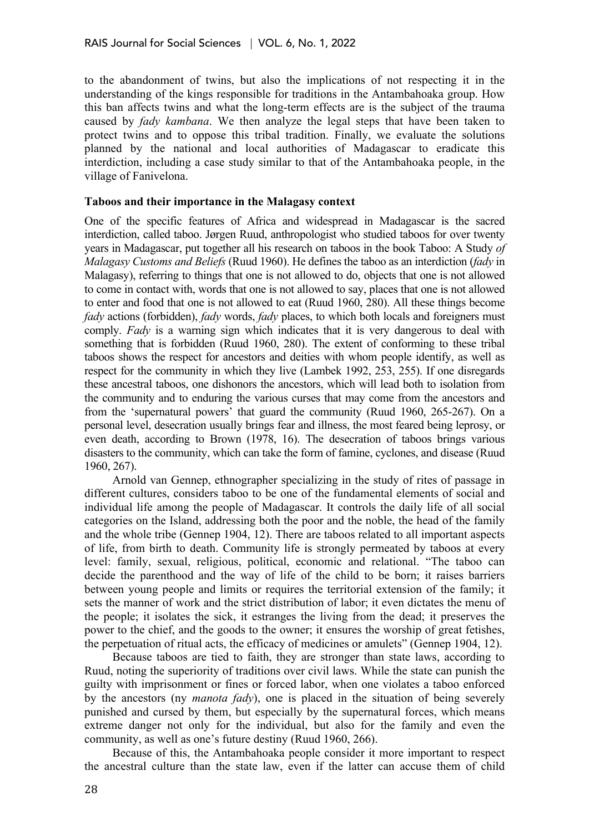to the abandonment of twins, but also the implications of not respecting it in the understanding of the kings responsible for traditions in the Antambahoaka group. How this ban affects twins and what the long-term effects are is the subject of the trauma caused by *fady kambana*. We then analyze the legal steps that have been taken to protect twins and to oppose this tribal tradition. Finally, we evaluate the solutions planned by the national and local authorities of Madagascar to eradicate this interdiction, including a case study similar to that of the Antambahoaka people, in the village of Fanivelona.

#### **Taboos and their importance in the Malagasy context**

One of the specific features of Africa and widespread in Madagascar is the sacred interdiction, called taboo. Jørgen Ruud, anthropologist who studied taboos for over twenty years in Madagascar, put together all his research on taboos in the book Taboo: A Study *of Malagasy Customs and Beliefs* (Ruud 1960). He defines the taboo as an interdiction (*fady* in Malagasy), referring to things that one is not allowed to do, objects that one is not allowed to come in contact with, words that one is not allowed to say, places that one is not allowed to enter and food that one is not allowed to eat (Ruud 1960, 280). All these things become *fady* actions (forbidden), *fady* words, *fady* places, to which both locals and foreigners must comply. *Fady* is a warning sign which indicates that it is very dangerous to deal with something that is forbidden (Ruud 1960, 280). The extent of conforming to these tribal taboos shows the respect for ancestors and deities with whom people identify, as well as respect for the community in which they live (Lambek 1992, 253, 255). If one disregards these ancestral taboos, one dishonors the ancestors, which will lead both to isolation from the community and to enduring the various curses that may come from the ancestors and from the 'supernatural powers' that guard the community (Ruud 1960, 265-267). On a personal level, desecration usually brings fear and illness, the most feared being leprosy, or even death, according to Brown (1978, 16). The desecration of taboos brings various disasters to the community, which can take the form of famine, cyclones, and disease (Ruud 1960, 267).

Arnold van Gennep, ethnographer specializing in the study of rites of passage in different cultures, considers taboo to be one of the fundamental elements of social and individual life among the people of Madagascar. It controls the daily life of all social categories on the Island, addressing both the poor and the noble, the head of the family and the whole tribe (Gennep 1904, 12). There are taboos related to all important aspects of life, from birth to death. Community life is strongly permeated by taboos at every level: family, sexual, religious, political, economic and relational. "The taboo can decide the parenthood and the way of life of the child to be born; it raises barriers between young people and limits or requires the territorial extension of the family; it sets the manner of work and the strict distribution of labor; it even dictates the menu of the people; it isolates the sick, it estranges the living from the dead; it preserves the power to the chief, and the goods to the owner; it ensures the worship of great fetishes, the perpetuation of ritual acts, the efficacy of medicines or amulets" (Gennep 1904, 12).

Because taboos are tied to faith, they are stronger than state laws, according to Ruud, noting the superiority of traditions over civil laws. While the state can punish the guilty with imprisonment or fines or forced labor, when one violates a taboo enforced by the ancestors (ny *manota fady*), one is placed in the situation of being severely punished and cursed by them, but especially by the supernatural forces, which means extreme danger not only for the individual, but also for the family and even the community, as well as one's future destiny (Ruud 1960, 266).

Because of this, the Antambahoaka people consider it more important to respect the ancestral culture than the state law, even if the latter can accuse them of child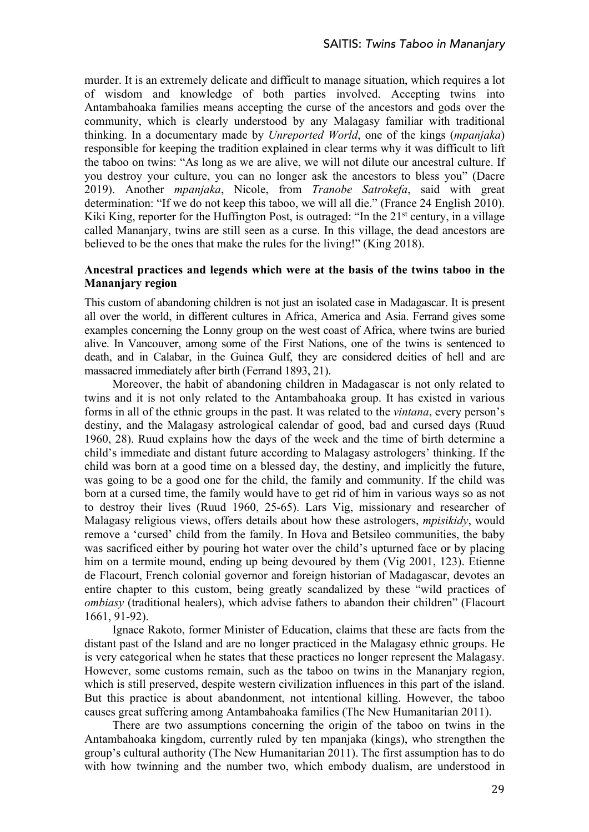murder. It is an extremely delicate and difficult to manage situation, which requires a lot of wisdom and knowledge of both parties involved. Accepting twins into Antambahoaka families means accepting the curse of the ancestors and gods over the community, which is clearly understood by any Malagasy familiar with traditional thinking. In a documentary made by *Unreported World*, one of the kings (*mpanjaka*) responsible for keeping the tradition explained in clear terms why it was difficult to lift the taboo on twins: "As long as we are alive, we will not dilute our ancestral culture. If you destroy your culture, you can no longer ask the ancestors to bless you" (Dacre 2019). Another *mpanjaka*, Nicole, from *Tranobe Satrokefa*, said with great determination: "If we do not keep this taboo, we will all die." (France 24 English 2010). Kiki King, reporter for the Huffington Post, is outraged: "In the 21<sup>st</sup> century, in a village called Mananjary, twins are still seen as a curse. In this village, the dead ancestors are believed to be the ones that make the rules for the living!" (King 2018).

# **Ancestral practices and legends which were at the basis of the twins taboo in the Mananjary region**

This custom of abandoning children is not just an isolated case in Madagascar. It is present all over the world, in different cultures in Africa, America and Asia. Ferrand gives some examples concerning the Lonny group on the west coast of Africa, where twins are buried alive. In Vancouver, among some of the First Nations, one of the twins is sentenced to death, and in Calabar, in the Guinea Gulf, they are considered deities of hell and are massacred immediately after birth (Ferrand 1893, 21).

Moreover, the habit of abandoning children in Madagascar is not only related to twins and it is not only related to the Antambahoaka group. It has existed in various forms in all of the ethnic groups in the past. It was related to the *vintana*, every person's destiny, and the Malagasy astrological calendar of good, bad and cursed days (Ruud 1960, 28). Ruud explains how the days of the week and the time of birth determine a child's immediate and distant future according to Malagasy astrologers' thinking. If the child was born at a good time on a blessed day, the destiny, and implicitly the future, was going to be a good one for the child, the family and community. If the child was born at a cursed time, the family would have to get rid of him in various ways so as not to destroy their lives (Ruud 1960, 25-65). Lars Vig, missionary and researcher of Malagasy religious views, offers details about how these astrologers, *mpisikidy*, would remove a 'cursed' child from the family. In Hova and Betsileo communities, the baby was sacrificed either by pouring hot water over the child's upturned face or by placing him on a termite mound, ending up being devoured by them (Vig 2001, 123). Etienne de Flacourt, French colonial governor and foreign historian of Madagascar, devotes an entire chapter to this custom, being greatly scandalized by these "wild practices of *ombiasy* (traditional healers), which advise fathers to abandon their children" (Flacourt 1661, 91-92).

Ignace Rakoto, former Minister of Education, claims that these are facts from the distant past of the Island and are no longer practiced in the Malagasy ethnic groups. He is very categorical when he states that these practices no longer represent the Malagasy. However, some customs remain, such as the taboo on twins in the Mananjary region, which is still preserved, despite western civilization influences in this part of the island. But this practice is about abandonment, not intentional killing. However, the taboo causes great suffering among Antambahoaka families (The New Humanitarian 2011).

There are two assumptions concerning the origin of the taboo on twins in the Antambahoaka kingdom, currently ruled by ten mpanjaka (kings), who strengthen the group's cultural authority (The New Humanitarian 2011). The first assumption has to do with how twinning and the number two, which embody dualism, are understood in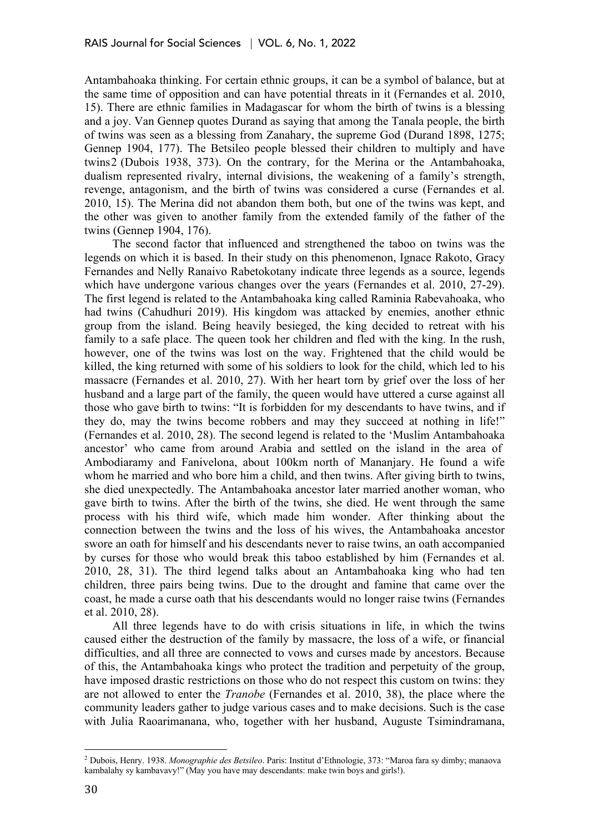Antambahoaka thinking. For certain ethnic groups, it can be a symbol of balance, but at the same time of opposition and can have potential threats in it (Fernandes et al. 2010, 15). There are ethnic families in Madagascar for whom the birth of twins is a blessing and a joy. Van Gennep quotes Durand as saying that among the Tanala people, the birth of twins was seen as a blessing from Zanahary, the supreme God (Durand 1898, 1275; Gennep 1904, 177). The Betsileo people blessed their children to multiply and have twins2 (Dubois 1938, 373). On the contrary, for the Merina or the Antambahoaka, dualism represented rivalry, internal divisions, the weakening of a family's strength, revenge, antagonism, and the birth of twins was considered a curse (Fernandes et al. 2010, 15). The Merina did not abandon them both, but one of the twins was kept, and the other was given to another family from the extended family of the father of the twins (Gennep 1904, 176).

The second factor that influenced and strengthened the taboo on twins was the legends on which it is based. In their study on this phenomenon, Ignace Rakoto, Gracy Fernandes and Nelly Ranaivo Rabetokotany indicate three legends as a source, legends which have undergone various changes over the years (Fernandes et al. 2010, 27-29). The first legend is related to the Antambahoaka king called Raminia Rabevahoaka, who had twins (Cahudhuri 2019). His kingdom was attacked by enemies, another ethnic group from the island. Being heavily besieged, the king decided to retreat with his family to a safe place. The queen took her children and fled with the king. In the rush, however, one of the twins was lost on the way. Frightened that the child would be killed, the king returned with some of his soldiers to look for the child, which led to his massacre (Fernandes et al. 2010, 27). With her heart torn by grief over the loss of her husband and a large part of the family, the queen would have uttered a curse against all those who gave birth to twins: "It is forbidden for my descendants to have twins, and if they do, may the twins become robbers and may they succeed at nothing in life!" (Fernandes et al. 2010, 28). The second legend is related to the 'Muslim Antambahoaka ancestor' who came from around Arabia and settled on the island in the area of Ambodiaramy and Fanivelona, about 100km north of Mananjary. He found a wife whom he married and who bore him a child, and then twins. After giving birth to twins, she died unexpectedly. The Antambahoaka ancestor later married another woman, who gave birth to twins. After the birth of the twins, she died. He went through the same process with his third wife, which made him wonder. After thinking about the connection between the twins and the loss of his wives, the Antambahoaka ancestor swore an oath for himself and his descendants never to raise twins, an oath accompanied by curses for those who would break this taboo established by him (Fernandes et al. 2010, 28, 31). The third legend talks about an Antambahoaka king who had ten children, three pairs being twins. Due to the drought and famine that came over the coast, he made a curse oath that his descendants would no longer raise twins (Fernandes et al. 2010, 28).

All three legends have to do with crisis situations in life, in which the twins caused either the destruction of the family by massacre, the loss of a wife, or financial difficulties, and all three are connected to vows and curses made by ancestors. Because of this, the Antambahoaka kings who protect the tradition and perpetuity of the group, have imposed drastic restrictions on those who do not respect this custom on twins: they are not allowed to enter the *Tranobe* (Fernandes et al. 2010, 38), the place where the community leaders gather to judge various cases and to make decisions. Such is the case with Julia Raoarimanana, who, together with her husband, Auguste Tsimindramana,

<sup>2</sup> Dubois, Henry. 1938. *Monographie des Betsileo*. Paris: Institut d'Ethnologie, 373: "Maroa fara sy dimby; manaova kambalahy sy kambavavy!" (May you have may descendants: make twin boys and girls!).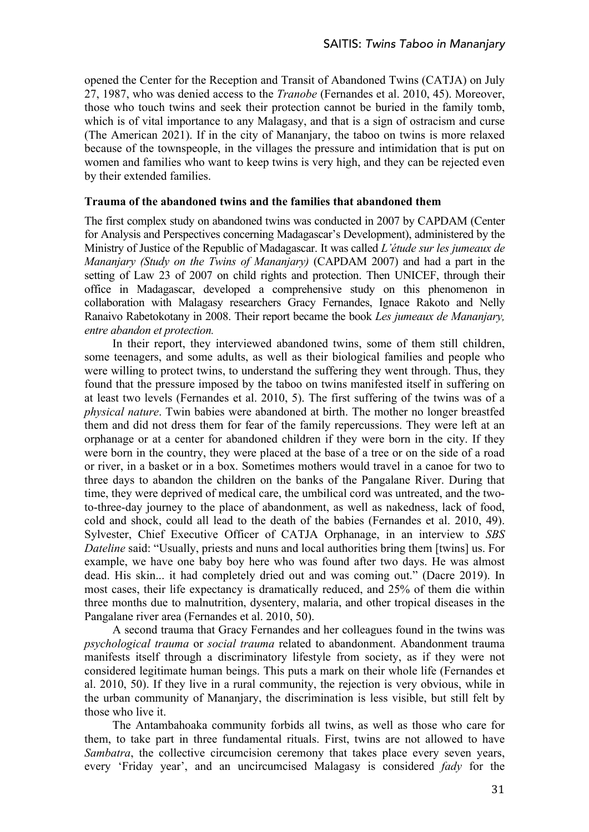opened the Center for the Reception and Transit of Abandoned Twins (CATJA) on July 27, 1987, who was denied access to the *Tranobe* (Fernandes et al. 2010, 45). Moreover, those who touch twins and seek their protection cannot be buried in the family tomb, which is of vital importance to any Malagasy, and that is a sign of ostracism and curse (The American 2021). If in the city of Mananjary, the taboo on twins is more relaxed because of the townspeople, in the villages the pressure and intimidation that is put on women and families who want to keep twins is very high, and they can be rejected even by their extended families.

# **Trauma of the abandoned twins and the families that abandoned them**

The first complex study on abandoned twins was conducted in 2007 by CAPDAM (Center for Analysis and Perspectives concerning Madagascar's Development), administered by the Ministry of Justice of the Republic of Madagascar. It was called *L'étude sur les jumeaux de Mananjary (Study on the Twins of Mananjary)* (CAPDAM 2007) and had a part in the setting of Law 23 of 2007 on child rights and protection. Then UNICEF, through their office in Madagascar, developed a comprehensive study on this phenomenon in collaboration with Malagasy researchers Gracy Fernandes, Ignace Rakoto and Nelly Ranaivo Rabetokotany in 2008. Their report became the book *Les jumeaux de Mananjary, entre abandon et protection.*

In their report, they interviewed abandoned twins, some of them still children, some teenagers, and some adults, as well as their biological families and people who were willing to protect twins, to understand the suffering they went through. Thus, they found that the pressure imposed by the taboo on twins manifested itself in suffering on at least two levels (Fernandes et al. 2010, 5). The first suffering of the twins was of a *physical nature*. Twin babies were abandoned at birth. The mother no longer breastfed them and did not dress them for fear of the family repercussions. They were left at an orphanage or at a center for abandoned children if they were born in the city. If they were born in the country, they were placed at the base of a tree or on the side of a road or river, in a basket or in a box. Sometimes mothers would travel in a canoe for two to three days to abandon the children on the banks of the Pangalane River. During that time, they were deprived of medical care, the umbilical cord was untreated, and the twoto-three-day journey to the place of abandonment, as well as nakedness, lack of food, cold and shock, could all lead to the death of the babies (Fernandes et al. 2010, 49). Sylvester, Chief Executive Officer of CATJA Orphanage, in an interview to *SBS Dateline* said: "Usually, priests and nuns and local authorities bring them [twins] us. For example, we have one baby boy here who was found after two days. He was almost dead. His skin... it had completely dried out and was coming out." (Dacre 2019). In most cases, their life expectancy is dramatically reduced, and 25% of them die within three months due to malnutrition, dysentery, malaria, and other tropical diseases in the Pangalane river area (Fernandes et al. 2010, 50).

A second trauma that Gracy Fernandes and her colleagues found in the twins was *psychological trauma* or *social trauma* related to abandonment. Abandonment trauma manifests itself through a discriminatory lifestyle from society, as if they were not considered legitimate human beings. This puts a mark on their whole life (Fernandes et al. 2010, 50). If they live in a rural community, the rejection is very obvious, while in the urban community of Mananjary, the discrimination is less visible, but still felt by those who live it.

The Antambahoaka community forbids all twins, as well as those who care for them, to take part in three fundamental rituals. First, twins are not allowed to have *Sambatra*, the collective circumcision ceremony that takes place every seven years, every 'Friday year', and an uncircumcised Malagasy is considered *fady* for the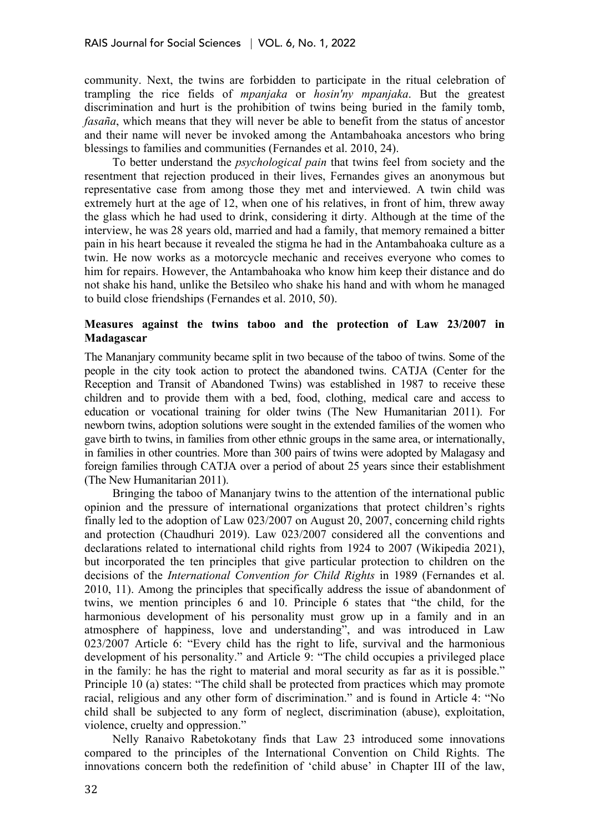community. Next, the twins are forbidden to participate in the ritual celebration of trampling the rice fields of *mpanjaka* or *hosin'ny mpanjaka*. But the greatest discrimination and hurt is the prohibition of twins being buried in the family tomb, *fasaña*, which means that they will never be able to benefit from the status of ancestor and their name will never be invoked among the Antambahoaka ancestors who bring blessings to families and communities (Fernandes et al. 2010, 24).

To better understand the *psychological pain* that twins feel from society and the resentment that rejection produced in their lives, Fernandes gives an anonymous but representative case from among those they met and interviewed. A twin child was extremely hurt at the age of 12, when one of his relatives, in front of him, threw away the glass which he had used to drink, considering it dirty. Although at the time of the interview, he was 28 years old, married and had a family, that memory remained a bitter pain in his heart because it revealed the stigma he had in the Antambahoaka culture as a twin. He now works as a motorcycle mechanic and receives everyone who comes to him for repairs. However, the Antambahoaka who know him keep their distance and do not shake his hand, unlike the Betsileo who shake his hand and with whom he managed to build close friendships (Fernandes et al. 2010, 50).

# **Measures against the twins taboo and the protection of Law 23/2007 in Madagascar**

The Mananjary community became split in two because of the taboo of twins. Some of the people in the city took action to protect the abandoned twins. CATJA (Center for the Reception and Transit of Abandoned Twins) was established in 1987 to receive these children and to provide them with a bed, food, clothing, medical care and access to education or vocational training for older twins (The New Humanitarian 2011). For newborn twins, adoption solutions were sought in the extended families of the women who gave birth to twins, in families from other ethnic groups in the same area, or internationally, in families in other countries. More than 300 pairs of twins were adopted by Malagasy and foreign families through CATJA over a period of about 25 years since their establishment (The New Humanitarian 2011).

Bringing the taboo of Mananjary twins to the attention of the international public opinion and the pressure of international organizations that protect children's rights finally led to the adoption of Law 023/2007 on August 20, 2007, concerning child rights and protection (Chaudhuri 2019). Law 023/2007 considered all the conventions and declarations related to international child rights from 1924 to 2007 (Wikipedia 2021), but incorporated the ten principles that give particular protection to children on the decisions of the *International Convention for Child Rights* in 1989 (Fernandes et al. 2010, 11). Among the principles that specifically address the issue of abandonment of twins, we mention principles 6 and 10. Principle 6 states that "the child, for the harmonious development of his personality must grow up in a family and in an atmosphere of happiness, love and understanding", and was introduced in Law 023/2007 Article 6: "Every child has the right to life, survival and the harmonious development of his personality." and Article 9: "The child occupies a privileged place in the family: he has the right to material and moral security as far as it is possible." Principle 10 (a) states: "The child shall be protected from practices which may promote racial, religious and any other form of discrimination." and is found in Article 4: "No child shall be subjected to any form of neglect, discrimination (abuse), exploitation, violence, cruelty and oppression."

Nelly Ranaivo Rabetokotany finds that Law 23 introduced some innovations compared to the principles of the International Convention on Child Rights. The innovations concern both the redefinition of 'child abuse' in Chapter III of the law,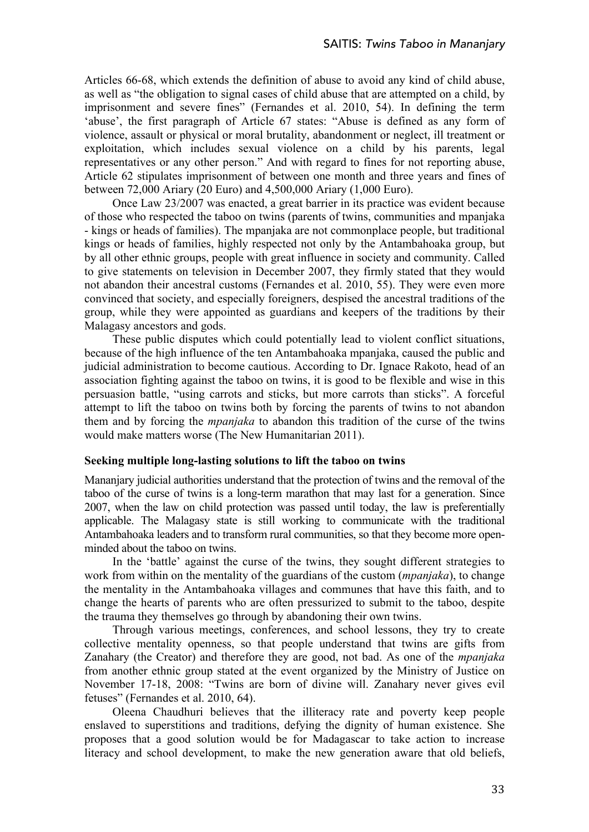Articles 66-68, which extends the definition of abuse to avoid any kind of child abuse, as well as "the obligation to signal cases of child abuse that are attempted on a child, by imprisonment and severe fines" (Fernandes et al. 2010, 54). In defining the term 'abuse', the first paragraph of Article 67 states: "Abuse is defined as any form of violence, assault or physical or moral brutality, abandonment or neglect, ill treatment or exploitation, which includes sexual violence on a child by his parents, legal representatives or any other person." And with regard to fines for not reporting abuse, Article 62 stipulates imprisonment of between one month and three years and fines of between 72,000 Ariary (20 Euro) and 4,500,000 Ariary (1,000 Euro).

Once Law 23/2007 was enacted, a great barrier in its practice was evident because of those who respected the taboo on twins (parents of twins, communities and mpanjaka - kings or heads of families). The mpanjaka are not commonplace people, but traditional kings or heads of families, highly respected not only by the Antambahoaka group, but by all other ethnic groups, people with great influence in society and community. Called to give statements on television in December 2007, they firmly stated that they would not abandon their ancestral customs (Fernandes et al. 2010, 55). They were even more convinced that society, and especially foreigners, despised the ancestral traditions of the group, while they were appointed as guardians and keepers of the traditions by their Malagasy ancestors and gods.

These public disputes which could potentially lead to violent conflict situations, because of the high influence of the ten Antambahoaka mpanjaka, caused the public and judicial administration to become cautious. According to Dr. Ignace Rakoto, head of an association fighting against the taboo on twins, it is good to be flexible and wise in this persuasion battle, "using carrots and sticks, but more carrots than sticks". A forceful attempt to lift the taboo on twins both by forcing the parents of twins to not abandon them and by forcing the *mpanjaka* to abandon this tradition of the curse of the twins would make matters worse (The New Humanitarian 2011).

#### **Seeking multiple long-lasting solutions to lift the taboo on twins**

Mananjary judicial authorities understand that the protection of twins and the removal of the taboo of the curse of twins is a long-term marathon that may last for a generation. Since 2007, when the law on child protection was passed until today, the law is preferentially applicable. The Malagasy state is still working to communicate with the traditional Antambahoaka leaders and to transform rural communities, so that they become more openminded about the taboo on twins.

In the 'battle' against the curse of the twins, they sought different strategies to work from within on the mentality of the guardians of the custom (*mpanjaka*), to change the mentality in the Antambahoaka villages and communes that have this faith, and to change the hearts of parents who are often pressurized to submit to the taboo, despite the trauma they themselves go through by abandoning their own twins.

Through various meetings, conferences, and school lessons, they try to create collective mentality openness, so that people understand that twins are gifts from Zanahary (the Creator) and therefore they are good, not bad. As one of the *mpanjaka* from another ethnic group stated at the event organized by the Ministry of Justice on November 17-18, 2008: "Twins are born of divine will. Zanahary never gives evil fetuses" (Fernandes et al. 2010, 64).

Oleena Chaudhuri believes that the illiteracy rate and poverty keep people enslaved to superstitions and traditions, defying the dignity of human existence. She proposes that a good solution would be for Madagascar to take action to increase literacy and school development, to make the new generation aware that old beliefs,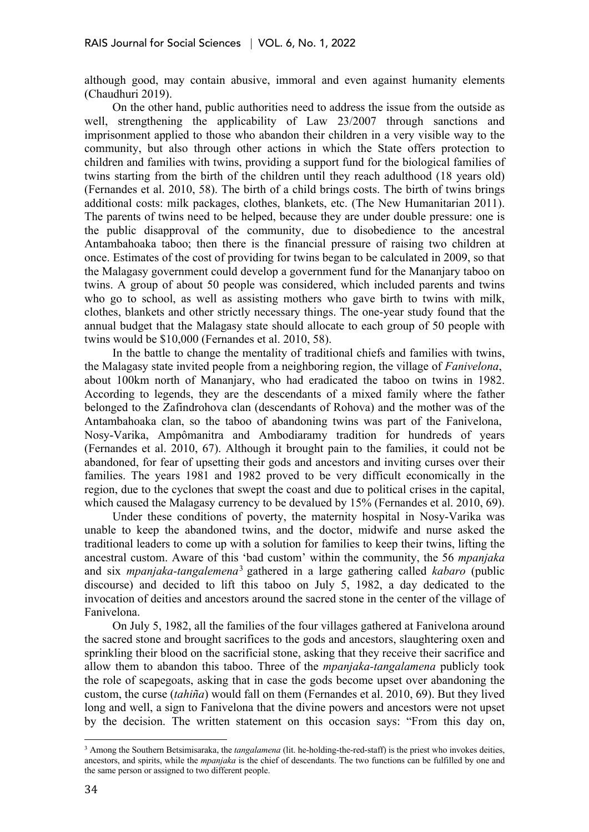although good, may contain abusive, immoral and even against humanity elements (Chaudhuri 2019).

On the other hand, public authorities need to address the issue from the outside as well, strengthening the applicability of Law 23/2007 through sanctions and imprisonment applied to those who abandon their children in a very visible way to the community, but also through other actions in which the State offers protection to children and families with twins, providing a support fund for the biological families of twins starting from the birth of the children until they reach adulthood (18 years old) (Fernandes et al. 2010, 58). The birth of a child brings costs. The birth of twins brings additional costs: milk packages, clothes, blankets, etc. (The New Humanitarian 2011). The parents of twins need to be helped, because they are under double pressure: one is the public disapproval of the community, due to disobedience to the ancestral Antambahoaka taboo; then there is the financial pressure of raising two children at once. Estimates of the cost of providing for twins began to be calculated in 2009, so that the Malagasy government could develop a government fund for the Mananjary taboo on twins. A group of about 50 people was considered, which included parents and twins who go to school, as well as assisting mothers who gave birth to twins with milk, clothes, blankets and other strictly necessary things. The one-year study found that the annual budget that the Malagasy state should allocate to each group of 50 people with twins would be \$10,000 (Fernandes et al. 2010, 58).

In the battle to change the mentality of traditional chiefs and families with twins, the Malagasy state invited people from a neighboring region, the village of *Fanivelona*, about 100km north of Mananjary, who had eradicated the taboo on twins in 1982. According to legends, they are the descendants of a mixed family where the father belonged to the Zafindrohova clan (descendants of Rohova) and the mother was of the Antambahoaka clan, so the taboo of abandoning twins was part of the Fanivelona, Nosy-Varika, Ampômanitra and Ambodiaramy tradition for hundreds of years (Fernandes et al. 2010, 67). Although it brought pain to the families, it could not be abandoned, for fear of upsetting their gods and ancestors and inviting curses over their families. The years 1981 and 1982 proved to be very difficult economically in the region, due to the cyclones that swept the coast and due to political crises in the capital, which caused the Malagasy currency to be devalued by 15% (Fernandes et al. 2010, 69).

Under these conditions of poverty, the maternity hospital in Nosy-Varika was unable to keep the abandoned twins, and the doctor, midwife and nurse asked the traditional leaders to come up with a solution for families to keep their twins, lifting the ancestral custom. Aware of this 'bad custom' within the community, the 56 *mpanjaka* and six *mpanjaka-tangalemena*<sup>3</sup> gathered in a large gathering called *kabaro* (public discourse) and decided to lift this taboo on July 5, 1982, a day dedicated to the invocation of deities and ancestors around the sacred stone in the center of the village of Fanivelona.

On July 5, 1982, all the families of the four villages gathered at Fanivelona around the sacred stone and brought sacrifices to the gods and ancestors, slaughtering oxen and sprinkling their blood on the sacrificial stone, asking that they receive their sacrifice and allow them to abandon this taboo. Three of the *mpanjaka-tangalamena* publicly took the role of scapegoats, asking that in case the gods become upset over abandoning the custom, the curse (*tahiña*) would fall on them (Fernandes et al. 2010, 69). But they lived long and well, a sign to Fanivelona that the divine powers and ancestors were not upset by the decision. The written statement on this occasion says: "From this day on,

<sup>3</sup> Among the Southern Betsimisaraka, the *tangalamena* (lit. he-holding-the-red-staff) is the priest who invokes deities, ancestors, and spirits, while the *mpanjaka* is the chief of descendants. The two functions can be fulfilled by one and the same person or assigned to two different people.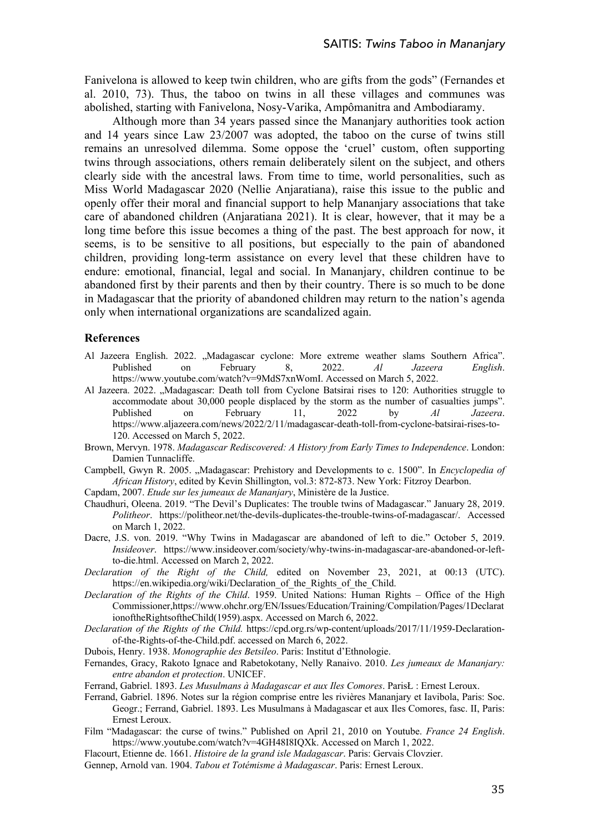Fanivelona is allowed to keep twin children, who are gifts from the gods" (Fernandes et al. 2010, 73). Thus, the taboo on twins in all these villages and communes was abolished, starting with Fanivelona, Nosy-Varika, Ampômanitra and Ambodiaramy.

Although more than 34 years passed since the Mananjary authorities took action and 14 years since Law 23/2007 was adopted, the taboo on the curse of twins still remains an unresolved dilemma. Some oppose the 'cruel' custom, often supporting twins through associations, others remain deliberately silent on the subject, and others clearly side with the ancestral laws. From time to time, world personalities, such as Miss World Madagascar 2020 (Nellie Anjaratiana), raise this issue to the public and openly offer their moral and financial support to help Mananjary associations that take care of abandoned children (Anjaratiana 2021). It is clear, however, that it may be a long time before this issue becomes a thing of the past. The best approach for now, it seems, is to be sensitive to all positions, but especially to the pain of abandoned children, providing long-term assistance on every level that these children have to endure: emotional, financial, legal and social. In Mananjary, children continue to be abandoned first by their parents and then by their country. There is so much to be done in Madagascar that the priority of abandoned children may return to the nation's agenda only when international organizations are scandalized again.

#### **References**

- Al Jazeera English. 2022. "Madagascar cyclone: More extreme weather slams Southern Africa".<br>Published on February 8. 2022. Al Jazeera English. Published on February 8, 2022. *Al Jazeera English*. https://www.youtube.com/watch?v=9MdS7xnWomI. Accessed on March 5, 2022.
- Al Jazeera. 2022. "Madagascar: Death toll from Cyclone Batsirai rises to 120: Authorities struggle to accommodate about 30,000 people displaced by the storm as the number of casualties jumps". Published on February 11, 2022 by *Al Jazeera*. https://www.aljazeera.com/news/2022/2/11/madagascar-death-toll-from-cyclone-batsirai-rises-to-120. Accessed on March 5, 2022.
- Brown, Mervyn. 1978. *Madagascar Rediscovered: A History from Early Times to Independence*. London: Damien Tunnacliffe.
- Campbell, Gwyn R. 2005. "Madagascar: Prehistory and Developments to c. 1500". In *Encyclopedia of African History*, edited by Kevin Shillington, vol.3: 872-873. New York: Fitzroy Dearbon.

Capdam, 2007. *Etude sur les jumeaux de Mananjary*, Ministère de la Justice.

- Chaudhuri, Oleena. 2019. "The Devil's Duplicates: The trouble twins of Madagascar." January 28, 2019. *Politheor*. https://politheor.net/the-devils-duplicates-the-trouble-twins-of-madagascar/. Accessed on March 1, 2022.
- Dacre, J.S. von. 2019. "Why Twins in Madagascar are abandoned of left to die." October 5, 2019. *Insideover*. https://www.insideover.com/society/why-twins-in-madagascar-are-abandoned-or-leftto-die.html. Accessed on March 2, 2022.
- *Declaration of the Right of the Child,* edited on November 23, 2021, at 00:13 (UTC). https://en.wikipedia.org/wiki/Declaration of the Rights of the Child.
- *Declaration of the Rights of the Child*. 1959. United Nations: Human Rights Office of the High Commissioner,https://www.ohchr.org/EN/Issues/Education/Training/Compilation/Pages/1Declarat ionoftheRightsoftheChild(1959).aspx. Accessed on March 6, 2022.
- *Declaration of the Rights of the Child.* https://cpd.org.rs/wp-content/uploads/2017/11/1959-Declarationof-the-Rights-of-the-Child.pdf. accessed on March 6, 2022.

Dubois, Henry. 1938. *Monographie des Betsileo*. Paris: Institut d'Ethnologie.

Fernandes, Gracy, Rakoto Ignace and Rabetokotany, Nelly Ranaivo. 2010. *Les jumeaux de Mananjary: entre abandon et protection*. UNICEF.

Ferrand, Gabriel. 1893. *Les Musulmans à Madagascar et aux Iles Comores*. ParisŁ : Ernest Leroux.

- Ferrand, Gabriel. 1896. Notes sur la région comprise entre les rivières Mananjary et Iavibola, Paris: Soc. Geogr.; Ferrand, Gabriel. 1893. Les Musulmans à Madagascar et aux Iles Comores, fasc. II, Paris: Ernest Leroux.
- Film "Madagascar: the curse of twins." Published on April 21, 2010 on Youtube. *France 24 English*. https://www.youtube.com/watch?v=4GH48I8IQXk. Accessed on March 1, 2022.

Flacourt, Etienne de. 1661. *Histoire de la grand isle Madagascar*. Paris: Gervais Clovzier.

Gennep, Arnold van. 1904. *Tabou et Totémisme à Madagascar*. Paris: Ernest Leroux.